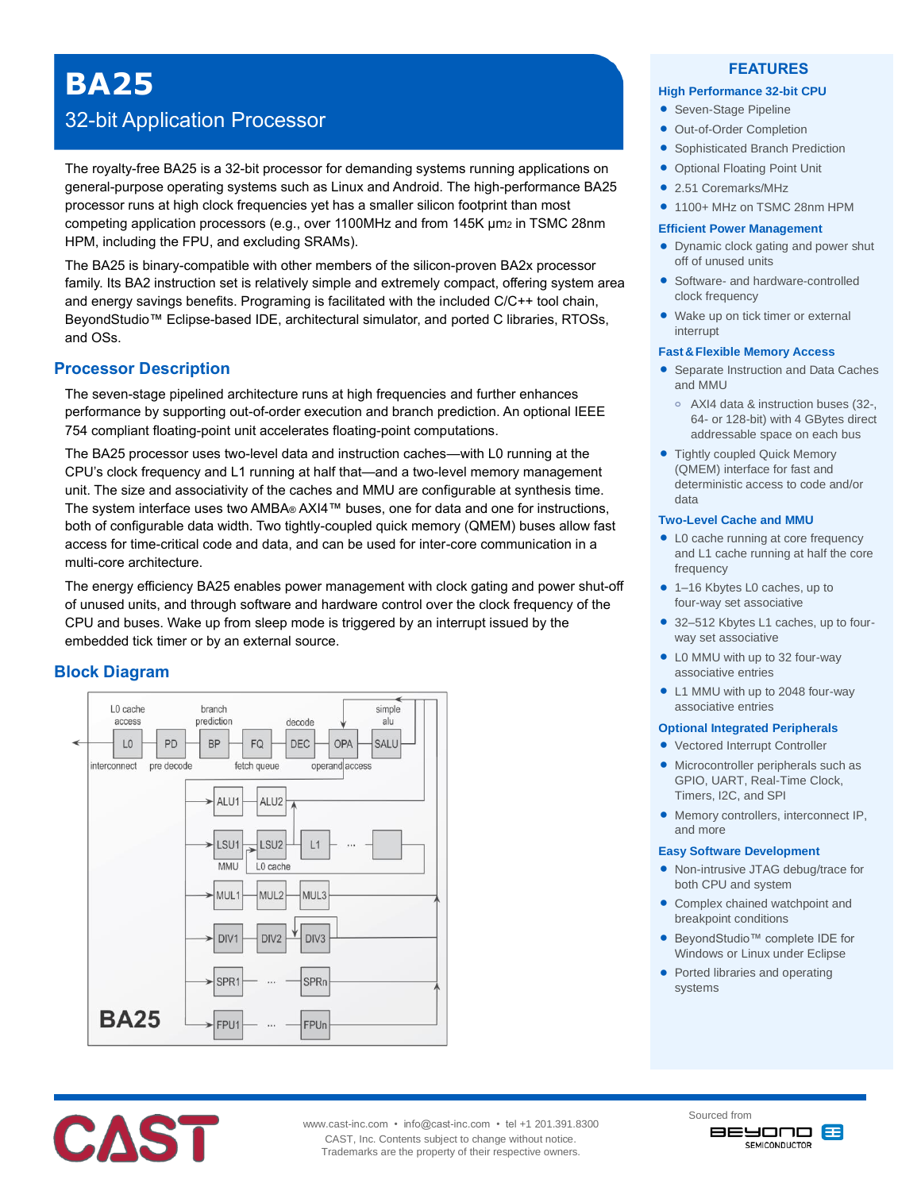# **BA25**

## 32-bit Application Processor

The royalty-free BA25 is a 32-bit processor for demanding systems running applications on general-purpose operating systems such as Linux and Android. The high-performance BA25 processor runs at high clock frequencies yet has a smaller silicon footprint than most competing application processors (e.g., over 1100MHz and from 145K µm2 in TSMC 28nm HPM, including the FPU, and excluding SRAMs).

The BA25 is binary-compatible with other members of the silicon-proven BA2x processor family. Its BA2 instruction set is relatively simple and extremely compact, offering system area and energy savings benefits. Programing is facilitated with the included C/C++ tool chain, BeyondStudio™ Eclipse-based IDE, architectural simulator, and ported C libraries, RTOSs, and OSs.

## **Processor Description**

The seven-stage pipelined architecture runs at high frequencies and further enhances performance by supporting out-of-order execution and branch prediction. An optional IEEE 754 compliant floating-point unit accelerates floating-point computations.

The BA25 processor uses two-level data and instruction caches—with L0 running at the CPU's clock frequency and L1 running at half that—and a two-level memory management unit. The size and associativity of the caches and MMU are configurable at synthesis time. The system interface uses two AMBA® AXI4™ buses, one for data and one for instructions, both of configurable data width. Two tightly-coupled quick memory (QMEM) buses allow fast access for time-critical code and data, and can be used for inter-core communication in a multi-core architecture.

The energy efficiency BA25 enables power management with clock gating and power shut-off of unused units, and through software and hardware control over the clock frequency of the CPU and buses. Wake up from sleep mode is triggered by an interrupt issued by the embedded tick timer or by an external source.

## **Block Diagram**





### **FEATURES**

#### **High Performance 32-bit CPU**

- Seven-Stage Pipeline
- Out-of-Order Completion
- **Sophisticated Branch Prediction**
- Optional Floating Point Unit
- 2.51 Coremarks/MHz
- $\bullet$  1100+ MHz on TSMC 28nm HPM

#### **Efficient Power Management**

- Dynamic clock gating and power shut off of unused units
- Software- and hardware-controlled clock frequency
- Wake up on tick timer or external interrupt

#### **Fast&Flexible Memory Access**

- Separate Instruction and Data Caches and MMU
	- **o** AXI4 data & instruction buses (32-, 64- or 128-bit) with 4 GBytes direct addressable space on each bus
- Tightly coupled Quick Memory (QMEM) interface for fast and deterministic access to code and/or data

#### **Two-Level Cache and MMU**

- L0 cache running at core frequency and L1 cache running at half the core frequency
- 1–16 Kbytes L0 caches, up to four-way set associative
- 32–512 Kbytes L1 caches, up to fourway set associative
- L0 MMU with up to 32 four-way associative entries
- L1 MMU with up to 2048 four-way associative entries

#### **Optional Integrated Peripherals**

- Vectored Interrupt Controller
- Microcontroller peripherals such as GPIO, UART, Real-Time Clock, Timers, I2C, and SPI
- Memory controllers, interconnect IP, and more

#### **Easy Software Development**

- Non-intrusive JTAG debug/trace for both CPU and system
- Complex chained watchpoint and breakpoint conditions
- BeyondStudio™ complete IDE for Windows or Linux under Eclipse
- Ported libraries and operating systems